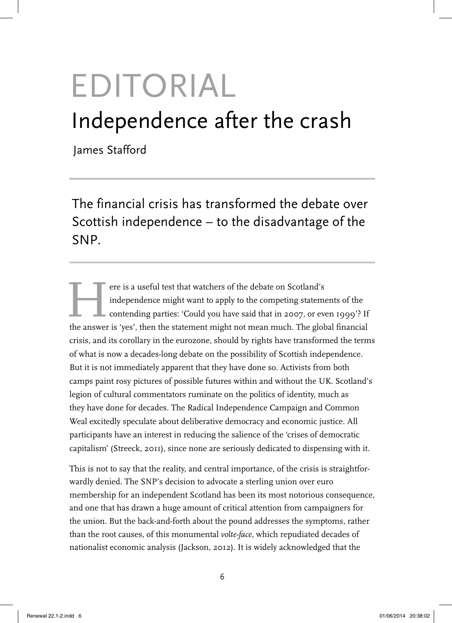# EDITORIAL Independence after the crash

James Stafford

The financial crisis has transformed the debate over Scottish independence – to the disadvantage of the SNP.

Fere is a useful test that watchers of the debate on Scotland's<br>independence might want to apply to the competing statement<br>contending parties: 'Could you have said that in 2007, or eve<br>the answer is 'ves' then the stateme independence might want to apply to the competing statements of the contending parties: 'Could you have said that in 2007, or even 1999'? If the answer is 'yes', then the statement might not mean much. The global financial crisis, and its corollary in the eurozone, should by rights have transformed the terms of what is now a decades-long debate on the possibility of Scottish independence. But it is not immediately apparent that they have done so. Activists from both camps paint rosy pictures of possible futures within and without the UK. Scotland's legion of cultural commentators ruminate on the politics of identity, much as they have done for decades. The Radical Independence Campaign and Common Weal excitedly speculate about deliberative democracy and economic justice. All participants have an interest in reducing the salience of the 'crises of democratic capitalism' (Streeck, 2011), since none are seriously dedicated to dispensing with it.

This is not to say that the reality, and central importance, of the crisis is straightforwardly denied. The SNP's decision to advocate a sterling union over euro membership for an independent Scotland has been its most notorious consequence, and one that has drawn a huge amount of critical attention from campaigners for the union. But the back-and-forth about the pound addresses the symptoms, rather than the root causes, of this monumental *volte-face*, which repudiated decades of nationalist economic analysis (Jackson, 2012). It is widely acknowledged that the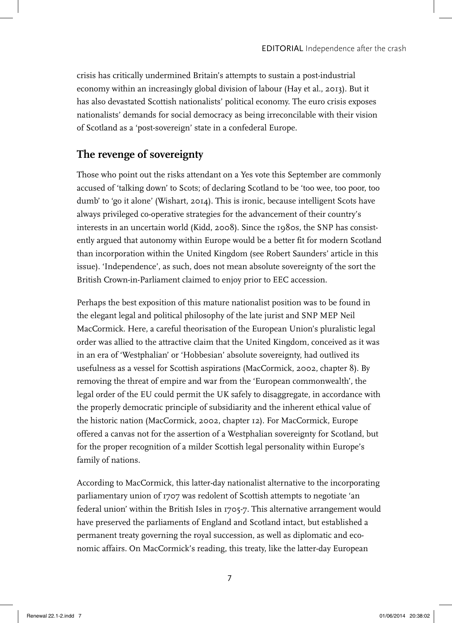crisis has critically undermined Britain's attempts to sustain a post-industrial economy within an increasingly global division of labour (Hay et al., 2013). But it has also devastated Scottish nationalists' political economy. The euro crisis exposes nationalists' demands for social democracy as being irreconcilable with their vision of Scotland as a 'post-sovereign' state in a confederal Europe.

## **The revenge of sovereignty**

Those who point out the risks attendant on a Yes vote this September are commonly accused of 'talking down' to Scots; of declaring Scotland to be 'too wee, too poor, too dumb' to 'go it alone' (Wishart, 2014). This is ironic, because intelligent Scots have always privileged co-operative strategies for the advancement of their country's interests in an uncertain world (Kidd, 2008). Since the 1980s, the SNP has consistently argued that autonomy within Europe would be a better fit for modern Scotland than incorporation within the United Kingdom (see Robert Saunders' article in this issue). 'Independence', as such, does not mean absolute sovereignty of the sort the British Crown-in-Parliament claimed to enjoy prior to EEC accession.

Perhaps the best exposition of this mature nationalist position was to be found in the elegant legal and political philosophy of the late jurist and SNP MEP Neil MacCormick. Here, a careful theorisation of the European Union's pluralistic legal order was allied to the attractive claim that the United Kingdom, conceived as it was in an era of 'Westphalian' or 'Hobbesian' absolute sovereignty, had outlived its usefulness as a vessel for Scottish aspirations (MacCormick, 2002, chapter 8). By removing the threat of empire and war from the 'European commonwealth', the legal order of the EU could permit the UK safely to disaggregate, in accordance with the properly democratic principle of subsidiarity and the inherent ethical value of the historic nation (MacCormick, 2002, chapter 12). For MacCormick, Europe offered a canvas not for the assertion of a Westphalian sovereignty for Scotland, but for the proper recognition of a milder Scottish legal personality within Europe's family of nations.

According to MacCormick, this latter-day nationalist alternative to the incorporating parliamentary union of 1707 was redolent of Scottish attempts to negotiate 'an federal union' within the British Isles in 1705-7. This alternative arrangement would have preserved the parliaments of England and Scotland intact, but established a permanent treaty governing the royal succession, as well as diplomatic and economic affairs. On MacCormick's reading, this treaty, like the latter-day European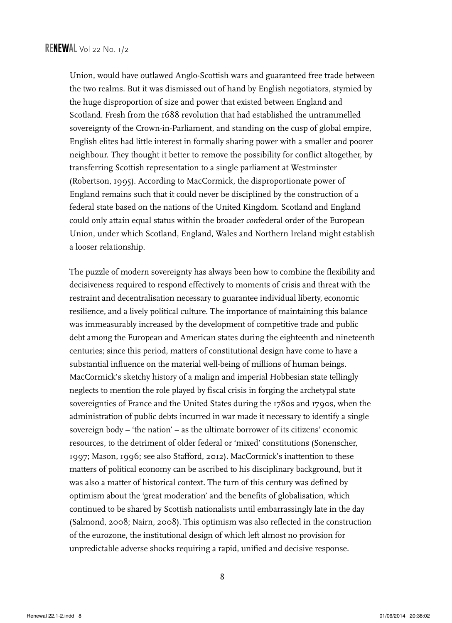Union, would have outlawed Anglo-Scottish wars and guaranteed free trade between the two realms. But it was dismissed out of hand by English negotiators, stymied by the huge disproportion of size and power that existed between England and Scotland. Fresh from the 1688 revolution that had established the untrammelled sovereignty of the Crown-in-Parliament, and standing on the cusp of global empire, English elites had little interest in formally sharing power with a smaller and poorer neighbour. They thought it better to remove the possibility for conflict altogether, by transferring Scottish representation to a single parliament at Westminster (Robertson, 1995). According to MacCormick, the disproportionate power of England remains such that it could never be disciplined by the construction of a federal state based on the nations of the United Kingdom. Scotland and England could only attain equal status within the broader *con*federal order of the European Union, under which Scotland, England, Wales and Northern Ireland might establish a looser relationship.

The puzzle of modern sovereignty has always been how to combine the flexibility and decisiveness required to respond effectively to moments of crisis and threat with the restraint and decentralisation necessary to guarantee individual liberty, economic resilience, and a lively political culture. The importance of maintaining this balance was immeasurably increased by the development of competitive trade and public debt among the European and American states during the eighteenth and nineteenth centuries; since this period, matters of constitutional design have come to have a substantial influence on the material well-being of millions of human beings. MacCormick's sketchy history of a malign and imperial Hobbesian state tellingly neglects to mention the role played by fiscal crisis in forging the archetypal state sovereignties of France and the United States during the 1780s and 1790s, when the administration of public debts incurred in war made it necessary to identify a single sovereign body – 'the nation' – as the ultimate borrower of its citizens' economic resources, to the detriment of older federal or 'mixed' constitutions (Sonenscher, 1997; Mason, 1996; see also Stafford, 2012). MacCormick's inattention to these matters of political economy can be ascribed to his disciplinary background, but it was also a matter of historical context. The turn of this century was defined by optimism about the 'great moderation' and the benefits of globalisation, which continued to be shared by Scottish nationalists until embarrassingly late in the day (Salmond, 2008; Nairn, 2008). This optimism was also reflected in the construction of the eurozone, the institutional design of which left almost no provision for unpredictable adverse shocks requiring a rapid, unified and decisive response.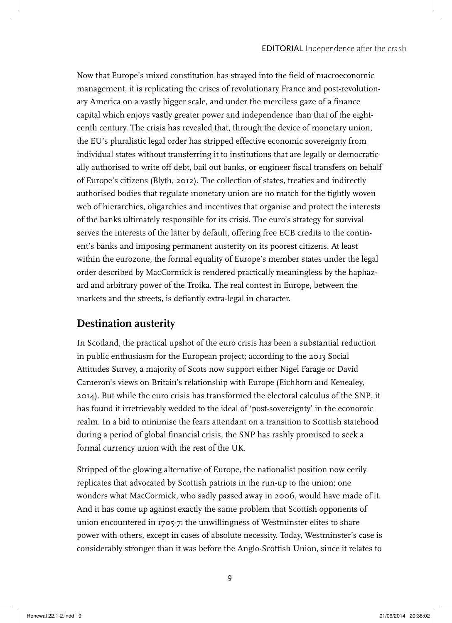Now that Europe's mixed constitution has strayed into the field of macroeconomic management, it is replicating the crises of revolutionary France and post-revolutionary America on a vastly bigger scale, and under the merciless gaze of a finance capital which enjoys vastly greater power and independence than that of the eighteenth century. The crisis has revealed that, through the device of monetary union, the EU's pluralistic legal order has stripped effective economic sovereignty from individual states without transferring it to institutions that are legally or democratically authorised to write off debt, bail out banks, or engineer fiscal transfers on behalf of Europe's citizens (Blyth, 2012). The collection of states, treaties and indirectly authorised bodies that regulate monetary union are no match for the tightly woven web of hierarchies, oligarchies and incentives that organise and protect the interests of the banks ultimately responsible for its crisis. The euro's strategy for survival serves the interests of the latter by default, offering free ECB credits to the continent's banks and imposing permanent austerity on its poorest citizens. At least within the eurozone, the formal equality of Europe's member states under the legal order described by MacCormick is rendered practically meaningless by the haphazard and arbitrary power of the Troika. The real contest in Europe, between the markets and the streets, is defiantly extra-legal in character.

### **Destination austerity**

In Scotland, the practical upshot of the euro crisis has been a substantial reduction in public enthusiasm for the European project; according to the 2013 Social Attitudes Survey, a majority of Scots now support either Nigel Farage or David Cameron's views on Britain's relationship with Europe (Eichhorn and Kenealey, 2014). But while the euro crisis has transformed the electoral calculus of the SNP, it has found it irretrievably wedded to the ideal of 'post-sovereignty' in the economic realm. In a bid to minimise the fears attendant on a transition to Scottish statehood during a period of global financial crisis, the SNP has rashly promised to seek a formal currency union with the rest of the UK.

Stripped of the glowing alternative of Europe, the nationalist position now eerily replicates that advocated by Scottish patriots in the run-up to the union; one wonders what MacCormick, who sadly passed away in 2006, would have made of it. And it has come up against exactly the same problem that Scottish opponents of union encountered in 1705-7: the unwillingness of Westminster elites to share power with others, except in cases of absolute necessity. Today, Westminster's case is considerably stronger than it was before the Anglo-Scottish Union, since it relates to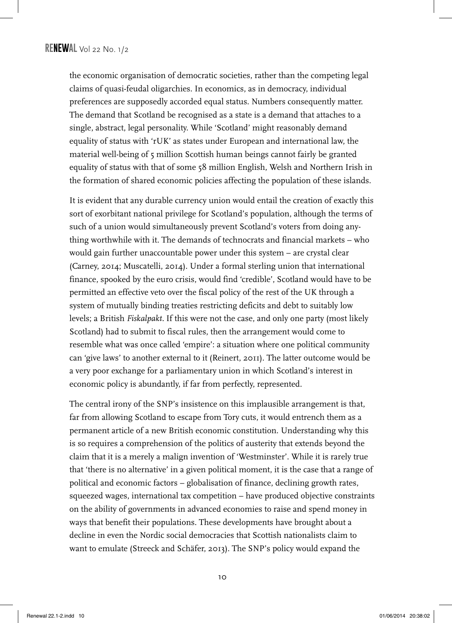the economic organisation of democratic societies, rather than the competing legal claims of quasi-feudal oligarchies. In economics, as in democracy, individual preferences are supposedly accorded equal status. Numbers consequently matter. The demand that Scotland be recognised as a state is a demand that attaches to a single, abstract, legal personality. While 'Scotland' might reasonably demand equality of status with 'rUK' as states under European and international law, the material well-being of 5 million Scottish human beings cannot fairly be granted equality of status with that of some 58 million English, Welsh and Northern Irish in the formation of shared economic policies affecting the population of these islands.

It is evident that any durable currency union would entail the creation of exactly this sort of exorbitant national privilege for Scotland's population, although the terms of such of a union would simultaneously prevent Scotland's voters from doing anything worthwhile with it. The demands of technocrats and financial markets – who would gain further unaccountable power under this system – are crystal clear (Carney, 2014; Muscatelli, 2014). Under a formal sterling union that international finance, spooked by the euro crisis, would find 'credible', Scotland would have to be permitted an effective veto over the fiscal policy of the rest of the UK through a system of mutually binding treaties restricting deficits and debt to suitably low levels; a British *Fiskalpakt.* If this were not the case, and only one party (most likely Scotland) had to submit to fiscal rules, then the arrangement would come to resemble what was once called 'empire': a situation where one political community can 'give laws' to another external to it (Reinert, 2011). The latter outcome would be a very poor exchange for a parliamentary union in which Scotland's interest in economic policy is abundantly, if far from perfectly, represented.

The central irony of the SNP's insistence on this implausible arrangement is that, far from allowing Scotland to escape from Tory cuts, it would entrench them as a permanent article of a new British economic constitution. Understanding why this is so requires a comprehension of the politics of austerity that extends beyond the claim that it is a merely a malign invention of 'Westminster'. While it is rarely true that 'there is no alternative' in a given political moment, it is the case that a range of political and economic factors – globalisation of finance, declining growth rates, squeezed wages, international tax competition – have produced objective constraints on the ability of governments in advanced economies to raise and spend money in ways that benefit their populations. These developments have brought about a decline in even the Nordic social democracies that Scottish nationalists claim to want to emulate (Streeck and Schäfer, 2013). The SNP's policy would expand the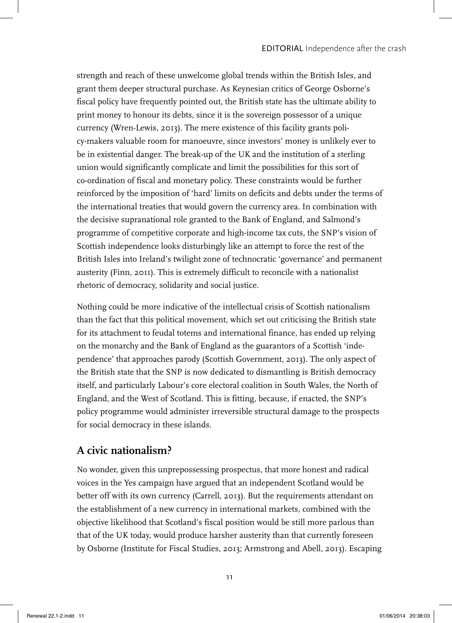strength and reach of these unwelcome global trends within the British Isles, and grant them deeper structural purchase. As Keynesian critics of George Osborne's fiscal policy have frequently pointed out, the British state has the ultimate ability to print money to honour its debts, since it is the sovereign possessor of a unique currency (Wren-Lewis, 2013). The mere existence of this facility grants policy-makers valuable room for manoeuvre, since investors' money is unlikely ever to be in existential danger. The break-up of the UK and the institution of a sterling union would significantly complicate and limit the possibilities for this sort of co-ordination of fiscal and monetary policy. These constraints would be further reinforced by the imposition of 'hard' limits on deficits and debts under the terms of the international treaties that would govern the currency area. In combination with the decisive supranational role granted to the Bank of England, and Salmond's programme of competitive corporate and high-income tax cuts, the SNP's vision of Scottish independence looks disturbingly like an attempt to force the rest of the British Isles into Ireland's twilight zone of technocratic 'governance' and permanent austerity (Finn, 2011). This is extremely difficult to reconcile with a nationalist rhetoric of democracy, solidarity and social justice.

Nothing could be more indicative of the intellectual crisis of Scottish nationalism than the fact that this political movement, which set out criticising the British state for its attachment to feudal totems and international finance, has ended up relying on the monarchy and the Bank of England as the guarantors of a Scottish 'independence' that approaches parody (Scottish Government, 2013). The only aspect of the British state that the SNP is now dedicated to dismantling is British democracy itself, and particularly Labour's core electoral coalition in South Wales, the North of England, and the West of Scotland. This is fitting, because, if enacted, the SNP's policy programme would administer irreversible structural damage to the prospects for social democracy in these islands.

### **A civic nationalism?**

No wonder, given this unprepossessing prospectus, that more honest and radical voices in the Yes campaign have argued that an independent Scotland would be better off with its own currency (Carrell, 2013). But the requirements attendant on the establishment of a new currency in international markets, combined with the objective likelihood that Scotland's fiscal position would be still more parlous than that of the UK today, would produce harsher austerity than that currently foreseen by Osborne (Institute for Fiscal Studies, 2013; Armstrong and Abell, 2013). Escaping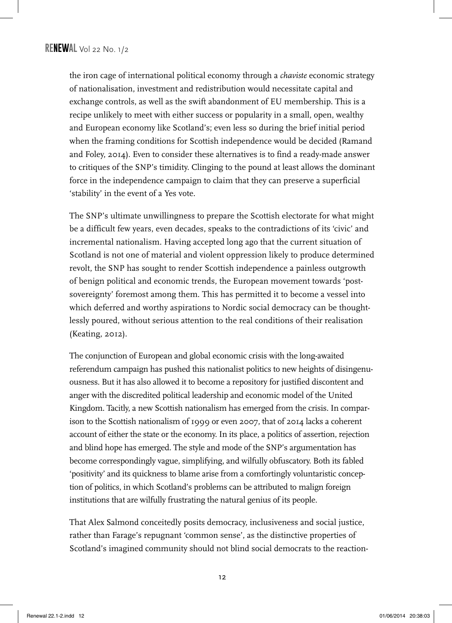the iron cage of international political economy through a *chaviste* economic strategy of nationalisation, investment and redistribution would necessitate capital and exchange controls, as well as the swift abandonment of EU membership. This is a recipe unlikely to meet with either success or popularity in a small, open, wealthy and European economy like Scotland's; even less so during the brief initial period when the framing conditions for Scottish independence would be decided (Ramand and Foley, 2014). Even to consider these alternatives is to find a ready-made answer to critiques of the SNP's timidity. Clinging to the pound at least allows the dominant force in the independence campaign to claim that they can preserve a superficial 'stability' in the event of a Yes vote.

The SNP's ultimate unwillingness to prepare the Scottish electorate for what might be a difficult few years, even decades, speaks to the contradictions of its 'civic' and incremental nationalism. Having accepted long ago that the current situation of Scotland is not one of material and violent oppression likely to produce determined revolt, the SNP has sought to render Scottish independence a painless outgrowth of benign political and economic trends, the European movement towards 'postsovereignty' foremost among them. This has permitted it to become a vessel into which deferred and worthy aspirations to Nordic social democracy can be thoughtlessly poured, without serious attention to the real conditions of their realisation (Keating, 2012).

The conjunction of European and global economic crisis with the long-awaited referendum campaign has pushed this nationalist politics to new heights of disingenuousness. But it has also allowed it to become a repository for justified discontent and anger with the discredited political leadership and economic model of the United Kingdom. Tacitly, a new Scottish nationalism has emerged from the crisis. In comparison to the Scottish nationalism of 1999 or even 2007, that of 2014 lacks a coherent account of either the state or the economy. In its place, a politics of assertion, rejection and blind hope has emerged. The style and mode of the SNP's argumentation has become correspondingly vague, simplifying, and wilfully obfuscatory. Both its fabled 'positivity' and its quickness to blame arise from a comfortingly voluntaristic conception of politics, in which Scotland's problems can be attributed to malign foreign institutions that are wilfully frustrating the natural genius of its people.

That Alex Salmond conceitedly posits democracy, inclusiveness and social justice, rather than Farage's repugnant 'common sense', as the distinctive properties of Scotland's imagined community should not blind social democrats to the reaction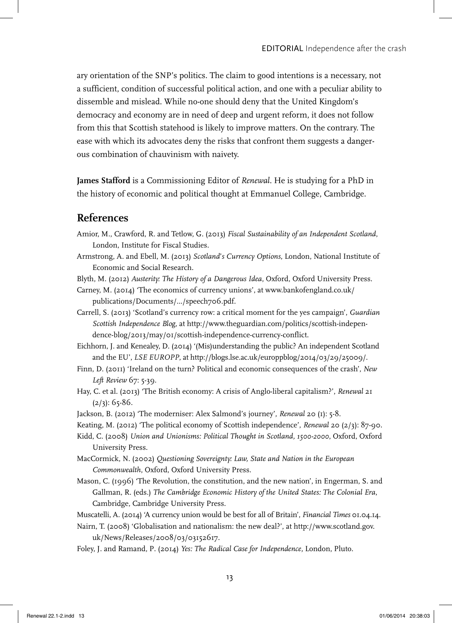ary orientation of the SNP's politics. The claim to good intentions is a necessary, not a sufficient, condition of successful political action, and one with a peculiar ability to dissemble and mislead. While no-one should deny that the United Kingdom's democracy and economy are in need of deep and urgent reform, it does not follow from this that Scottish statehood is likely to improve matters. On the contrary. The ease with which its advocates deny the risks that confront them suggests a dangerous combination of chauvinism with naivety.

**James Stafford** is a Commissioning Editor of *Renewal*. He is studying for a PhD in the history of economic and political thought at Emmanuel College, Cambridge.

#### **References**

- Amior, M., Crawford, R. and Tetlow, G. (2013) *Fiscal Sustainability of an Independent Scotland*, London, Institute for Fiscal Studies.
- Armstrong, A. and Ebell, M. (2013) *Scotland*'*s Currency Options*, London, National Institute of Economic and Social Research.
- Blyth, M. (2012) *Austerity: The History of a Dangerous Idea*, Oxford, Oxford University Press.
- Carney, M. (2014) 'The economics of currency unions', at www.bankofengland.co.uk/ publications/Documents/.../speech706.pdf.
- Carrell, S. (2013) 'Scotland's currency row: a critical moment for the yes campaign', *Guardian Scottish Independence Blog*, at http://www.theguardian.com/politics/scottish-independence-blog/2013/may/01/scottish-independence-currency-conflict.
- Eichhorn, J. and Kenealey, D. (2014) '(Mis)understanding the public? An independent Scotland and the EU', *LSE EUROPP*, at http://blogs.lse.ac.uk/europpblog/2014/03/29/25009/.
- Finn, D. (2011) 'Ireland on the turn? Political and economic consequences of the crash', *New Left Review* 67: 5-39.
- Hay, C. et al. (2013) 'The British economy: A crisis of Anglo-liberal capitalism?', *Renewal* 21  $(2/3)$ : 65-86.
- Jackson, B. (2012) 'The moderniser: Alex Salmond's journey', *Renewal* 20 (1): 5-8.
- Keating, M. (2012) 'The political economy of Scottish independence', *Renewal* 20 (2/3): 87-90.
- Kidd, C. (2008) *Union and Unionisms: Political Thought in Scotland, 1500-2000*, Oxford, Oxford University Press.
- MacCormick, N. (2002) *Questioning Sovereignty: Law, State and Nation in the European Commonwealth*, Oxford, Oxford University Press.
- Mason, C. (1996) 'The Revolution, the constitution, and the new nation', in Engerman, S. and Gallman, R. (eds.) *The Cambridge Economic History of the United States: The Colonial Era*, Cambridge, Cambridge University Press.
- Muscatelli, A. (2014) 'A currency union would be best for all of Britain', *Financial Times* 01.04.14.
- Nairn, T. (2008) 'Globalisation and nationalism: the new deal?', at http://www.scotland.gov. uk/News/Releases/2008/03/03152617.
- Foley, J. and Ramand, P. (2014) *Yes: The Radical Case for Independence,* London, Pluto.